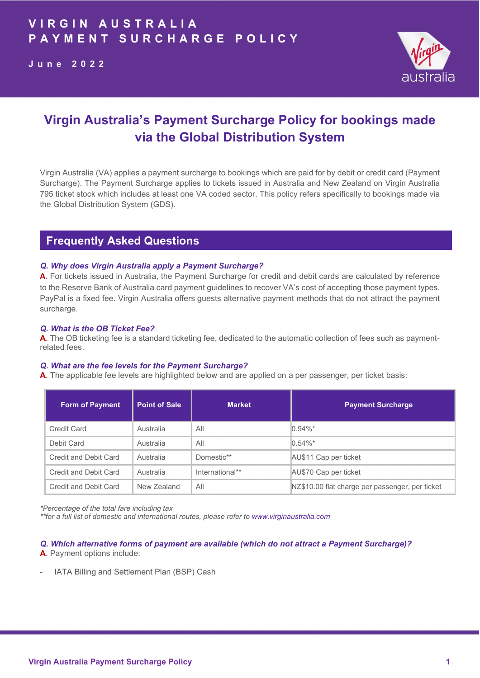

# Virgin Australia's Payment Surcharge Policy for bookings made via the Global Distribution System

Virgin Australia (VA) applies a payment surcharge to bookings which are paid for by debit or credit card (Payment Surcharge). The Payment Surcharge applies to tickets issued in Australia and New Zealand on Virgin Australia 795 ticket stock which includes at least one VA coded sector. This policy refers specifically to bookings made via the Global Distribution System (GDS).

## Frequently Asked Questions

#### Q. Why does Virgin Australia apply a Payment Surcharge?

A. For tickets issued in Australia, the Payment Surcharge for credit and debit cards are calculated by reference to the Reserve Bank of Australia card payment guidelines to recover VA's cost of accepting those payment types. PayPal is a fixed fee. Virgin Australia offers guests alternative payment methods that do not attract the payment surcharge.

#### Q. What is the OB Ticket Fee?

A. The OB ticketing fee is a standard ticketing fee, dedicated to the automatic collection of fees such as paymentrelated fees.

#### Q. What are the fee levels for the Payment Surcharge?

A. The applicable fee levels are highlighted below and are applied on a per passenger, per ticket basis:

| <b>Form of Payment</b> | <b>Point of Sale</b> | <b>Market</b>   | <b>Payment Surcharge</b>                        |
|------------------------|----------------------|-----------------|-------------------------------------------------|
| Credit Card            | Australia            | All             | $0.94\%$ *                                      |
| Debit Card             | Australia            | All             | $0.54\%$ *                                      |
| Credit and Debit Card  | Australia            | Domestic**      | AU\$11 Cap per ticket                           |
| Credit and Debit Card  | Australia            | International** | AU\$70 Cap per ticket                           |
| Credit and Debit Card  | New Zealand          | All             | NZ\$10.00 flat charge per passenger, per ticket |

\*Percentage of the total fare including tax

\*\*for a full list of domestic and international routes, please refer to www.virginaustralia.com

Q. Which alternative forms of payment are available (which do not attract a Payment Surcharge)? A. Payment options include:

IATA Billing and Settlement Plan (BSP) Cash